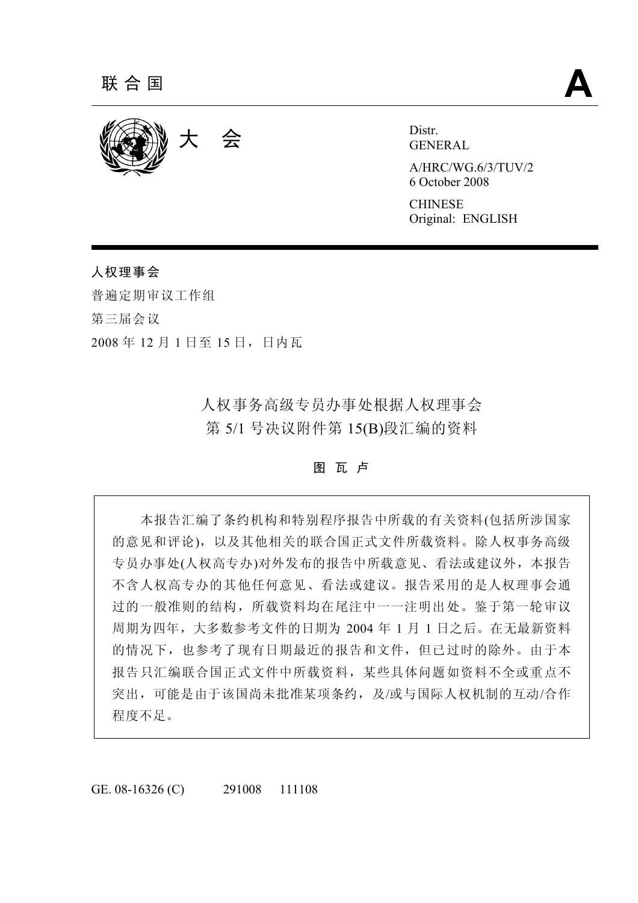

GENERAL

A/HRC/WG.6/3/TUV/2 6 October 2008

**CHINESE** Original: ENGLISH

# 人权理事会

普遍定期审议工作组 第三届会议 2008 年 12 月 1 日至 15 日,日内瓦

> 人权事务高级专员办事处根据人权理事会 第 5/1 号决议附件第 15(B)段汇编的资料

> > 图 瓦 卢

 本报告汇编了条约机构和特别程序报告中所载的有关资料(包括所涉国家 的意见和评论),以及其他相关的联合国正式文件所载资料。除人权事务高级 专员办事处(人权高专办)对外发布的报告中所载意见、看法或建议外,本报告 不含人权高专办的其他任何意见、看法或建议。报告采用的是人权理事会通 过的一般准则的结构,所载资料均在尾注中一一注明出处。鉴于第一轮审议 周期为四年,大多数参考文件的日期为 2004 年 1 月 1 日之后。在无最新资料 的情况下,也参考了现有日期最近的报告和文件,但已过时的除外。由于本 报告只汇编联合国正式文件中所载资料,某些具体问题如资料不全或重点不 突出,可能是由于该国尚未批准某项条约,及/或与国际人权机制的互动/合作 程度不足。

GE. 08-16326 (C) 291008 111108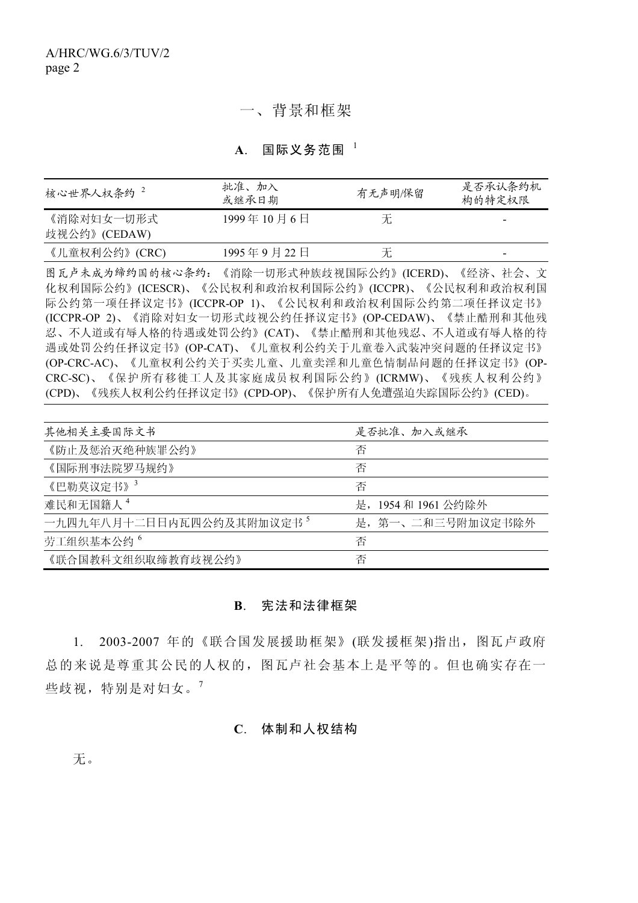## 一、背景和框架

**A**. 国际义务范围 <sup>1</sup>

| 核心世界人权条约 <sup>2</sup>      | 批准、加入<br>或继承日期 | 有无声明/保留 | 是否承认条约机<br>构的特定权限 |
|----------------------------|----------------|---------|-------------------|
| 《消除对妇女一切形式<br>歧视公约》(CEDAW) | 1999年10月6日     | 无       |                   |
| 《儿童权利公约》(CRC)              | 1995年9月22日     | 尢       | -                 |

图瓦卢未成为缔约国的核心条约:《消除一切形式种族歧视国际公约》(ICERD)、《经济、社会、文 化权利国际公约》(ICESCR)、《公民权利和政治权利国际公约》(ICCPR)、《公民权利和政治权利国 际公约第一项任择议定书》(ICCPR-OP 1)、《公民权利和政治权利国际公约第二项任择议定书》 (ICCPR-OP 2)、《消除对妇女一切形式歧视公约任择议定书》(OP-CEDAW)、《禁止酷刑和其他残 忍、不人道或有辱人格的待遇或处罚公约》(CAT)、《禁止酷刑和其他残忍、不人道或有辱人格的待 遇或处罚公约任择议定书》(OP-CAT)、《儿童权利公约关于儿童卷入武装冲突问题的任择议定书》 (OP-CRC-AC)、《儿童权利公约关于买卖儿童、儿童卖淫和儿童色情制品问题的任择议定书》(OP-CRC-SC)、《保护所有移徙工人及其家庭成员权利国际公约》(ICRMW)、《残疾人权利公约》 (CPD)、《残疾人权利公约任择议定书》(CPD-OP)、《保护所有人免遭强迫失踪国际公约》(CED)。

| 其他相关主要国际文书               | 是否批准、加入或继承          |
|--------------------------|---------------------|
| 《防止及惩治灭绝种族罪公约》           | 否                   |
| 《国际刑事法院罗马规约》             | 否                   |
| 《巴勒莫议定书》3                | 否                   |
| 难民和无国籍人 <sup>4</sup>     | 是, 1954 和 1961 公约除外 |
| 一九四九年八月十二日日内瓦四公约及其附加议定书5 | 是, 第一、二和三号附加议定书除外   |
| 劳工组织基本公约 <sup>6</sup>    | 否                   |
| 《联合国教科文组织取缔教育歧视公约》       | 否                   |

## **B**. 宪法和法律框架

 1. 2003-2007 年的《联合国发展援助框架》(联发援框架)指出,图瓦卢政府 总的来说是尊重其公民的人权的,图瓦卢社会基本上是平等的。但也确实存在一 些歧视,特别是对妇女。<sup>7</sup>

#### **C**. 体制和人权结构

无。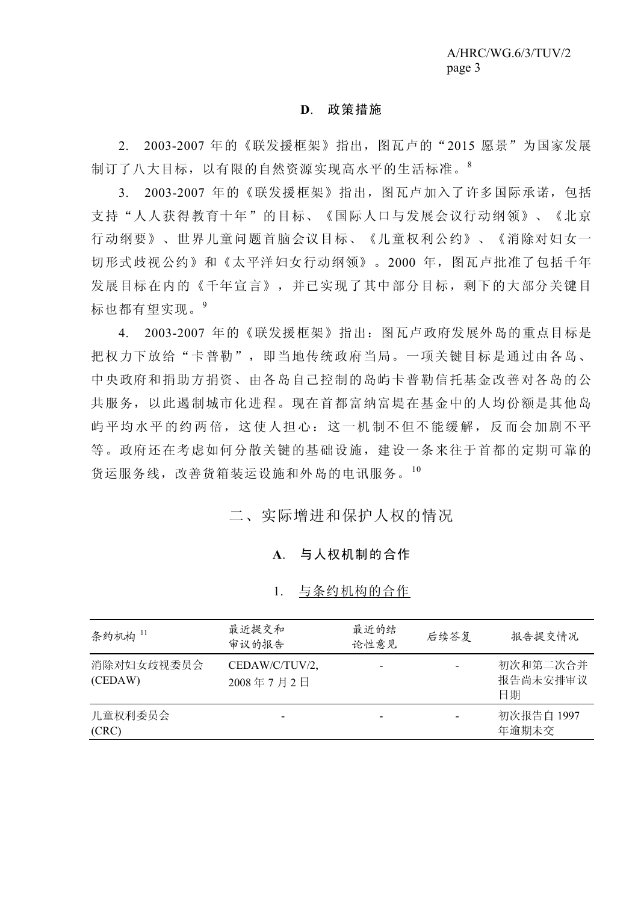#### **D**. 政策措施

 2. 2003-2007 年的《联发援框架》指出,图瓦卢的"2015 愿景"为国家发展 制订了八大目标,以有限的自然资源实现高水平的生活标准。<sup>8</sup>

 3. 2003-2007 年的《联发援框架》指出,图瓦卢加入了许多国际承诺,包括 支持"人人获得教育十年"的目标、《国际人口与发展会议行动纲领》、《北京 行动纲要》、世界儿童问题首脑会议目标、《儿童权利公约》、《消除对妇女一 切形式歧视公约》和《太平洋妇女行动纲领》。2000 年,图瓦卢批准了包括千年 发展目标在内的《千年宣言》,并已实现了其中部分目标,剩下的大部分关键目 标也都有望实现。<sup>9</sup>

 4. 2003-2007 年的《联发援框架》指出:图瓦卢政府发展外岛的重点目标是 把权力下放给"卡普勒",即当地传统政府当局。一项关键目标是通过由各岛、 中央政府和捐助方捐资、由各岛自己控制的岛屿卡普勒信托基金改善对各岛的公 共服务,以此遏制城市化进程。现在首都富纳富堤在基金中的人均份额是其他岛 屿平均水平的约两倍,这使人担心:这一机制不但不能缓解,反而会加剧不平 等。政府还在考虑如何分散关键的基础设施,建设一条来往于首都的定期可靠的 货运服务线,改善货箱装运设施和外岛的电讯服务。<sup>10</sup>

二、实际增进和保护人权的情况

#### **A**. 与人权机制的合作

#### 1. 与条约机构的合作

| 条约机构 11               | 最近提交和<br>审议的报告              | 最近的结<br>论性意见 | 后续答复           | 报告提交情况                     |
|-----------------------|-----------------------------|--------------|----------------|----------------------------|
| 消除对妇女歧视委员会<br>(CEDAW) | CEDAW/C/TUV/2,<br>2008年7月2日 |              | $\blacksquare$ | 初次和第二次合并<br>报告尚未安排审议<br>日期 |
| 儿童权利委员会<br>(CRC)      |                             |              |                | 初次报告自 1997<br>年逾期未交        |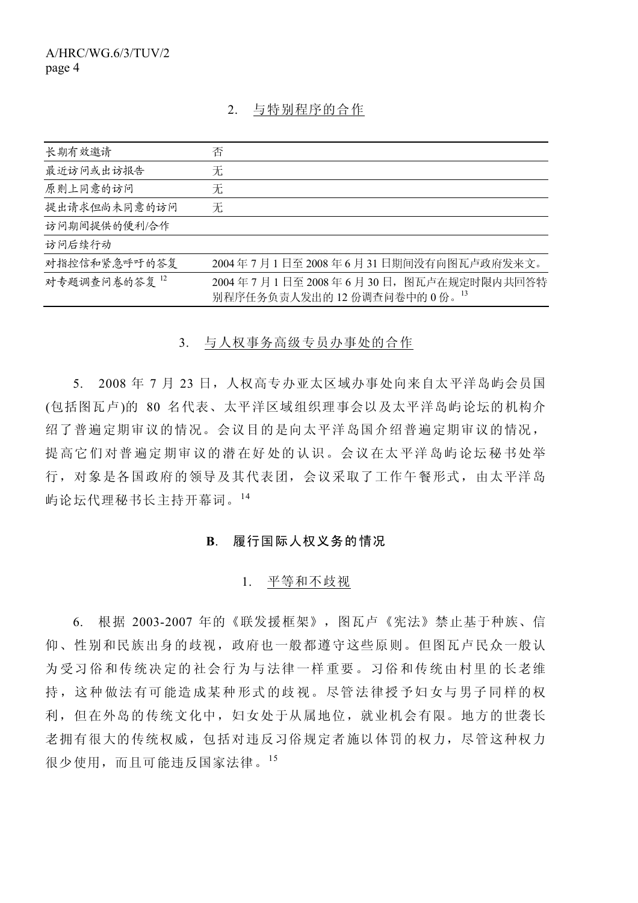## 2. 与特别程序的合作

| 长期有效邀请       | 否                                                               |
|--------------|-----------------------------------------------------------------|
| 最近访问或出访报告    | 无                                                               |
| 原则上同意的访问     | 无                                                               |
| 提出请求但尚未同意的访问 | 无                                                               |
| 访问期间提供的便利/合作 |                                                                 |
| 访问后续行动       |                                                                 |
| 对指控信和紧急呼吁的答复 | 2004年7月1日至2008年6月31日期间没有向图瓦卢政府发来文。                              |
| 对专题调查问卷的答复12 | 2004年7月1日至2008年6月30日,图瓦卢在规定时限内共回答特<br>别程序任务负责人发出的12份调查问卷中的0份。13 |

3. 与人权事务高级专员办事处的合作

5. 2008年 7 月 23 日, 人权高专办亚太区域办事处向来自太平洋岛屿会员国 (包括图瓦卢)的 80 名代表、太平洋区域组织理事会以及太平洋岛屿论坛的机构介 绍了普遍定期审议的情况。会议目的是向太平洋岛国介绍普遍定期审议的情况, 提高它们对普遍定期审议的潜在好处的认识。会议在太平洋岛屿论坛秘书处举 行,对象是各国政府的领导及其代表团,会议采取了工作午餐形式,由太平洋岛 屿论坛代理秘书长主持开幕词。<sup>14</sup>

## **B**. 履行国际人权义务的情况

## 1. 平等和不歧视

 6. 根据 2003-2007 年的《联发援框架》,图瓦卢《宪法》禁止基于种族、信 仰、性别和民族出身的歧视,政府也一般都遵守这些原则。但图瓦卢民众一般认 为受习俗和传统决定的社会行为与法律一样重要。习俗和传统由村里的长老维 持,这种做法有可能造成某种形式的歧视。尽管法律授予妇女与男子同样的权 利,但在外岛的传统文化中,妇女处于从属地位,就业机会有限。地方的世袭长 老拥有很大的传统权威,包括对违反习俗规定者施以体罚的权力,尽管这种权力 很少使用,而且可能违反国家法律。15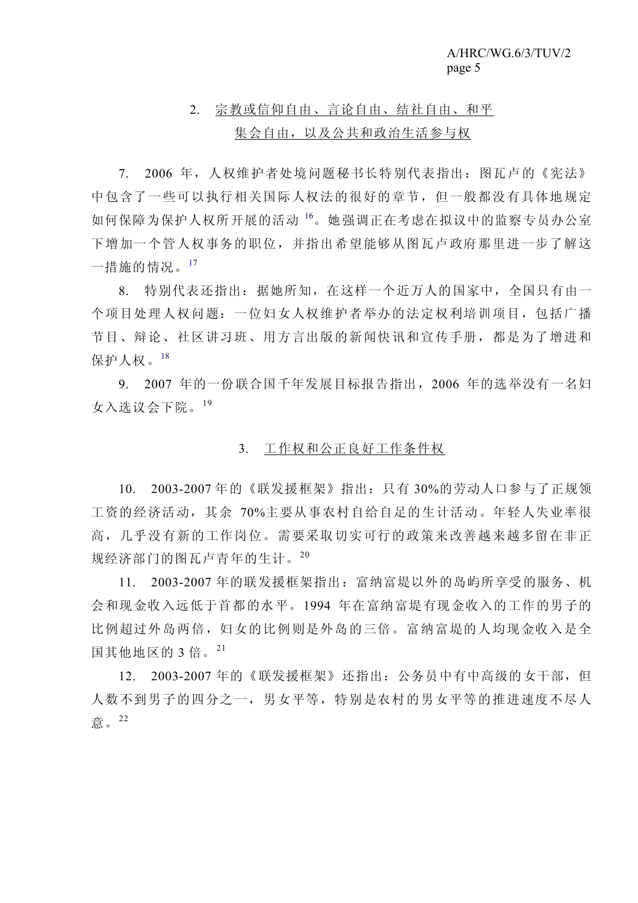# 2. 宗教或信仰自由、言论自由、结社自由、和平 集会自由,以及公共和政治生活参与权

 7. 2006 年,人权维护者处境问题秘书长特别代表指出:图瓦卢的《宪法》 中包含了一些可以执行相关国际人权法的很好的章节,但一般都没有具体地规定 如何保障为保护人权所开展的活动 <sup>16</sup> 。她强调正在考虑在拟议中的监察专员办公室 下增加一个管人权事务的职位,并指出希望能够从图瓦卢政府那里进一步了解这 一措施的情况。<sup>17</sup>

 8. 特别代表还指出:据她所知,在这样一个近万人的国家中,全国只有由一 个项目处理人权问题:一位妇女人权维护者举办的法定权利培训项目,包括广播 节目、辩论、社区讲习班、用方言出版的新闻快讯和宣传手册,都是为了增进和 保护人权。<sup>18</sup>

 9. 2007 年的一份联合国千年发展目标报告指出,2006 年的选举没有一名妇 女入选议会下院。<sup>19</sup>

## 3. 工作权和公正良好工作条件权

 10. 2003-2007 年的《联发援框架》指出:只有 30%的劳动人口参与了正规领 工资的经济活动,其余 70%主要从事农村自给自足的生计活动。年轻人失业率很 高,几乎没有新的工作岗位。需要采取切实可行的政策来改善越来越多留在非正 规经济部门的图瓦卢青年的生计。<sup>20</sup>

 11. 2003-2007 年的联发援框架指出:富纳富堤以外的岛屿所享受的服务、机 会和现金收入远低于首都的水平。1994 年在富纳富堤有现金收入的工作的男子的 比例超过外岛两倍,妇女的比例则是外岛的三倍。富纳富堤的人均现金收入是全 国其他地区的 3 倍。<sup>21</sup>

 12. 2003-2007 年的《联发援框架》还指出:公务员中有中高级的女干部,但 人数不到男子的四分之一,男女平等,特别是农村的男女平等的推进速度不尽人 意。<sup>22</sup>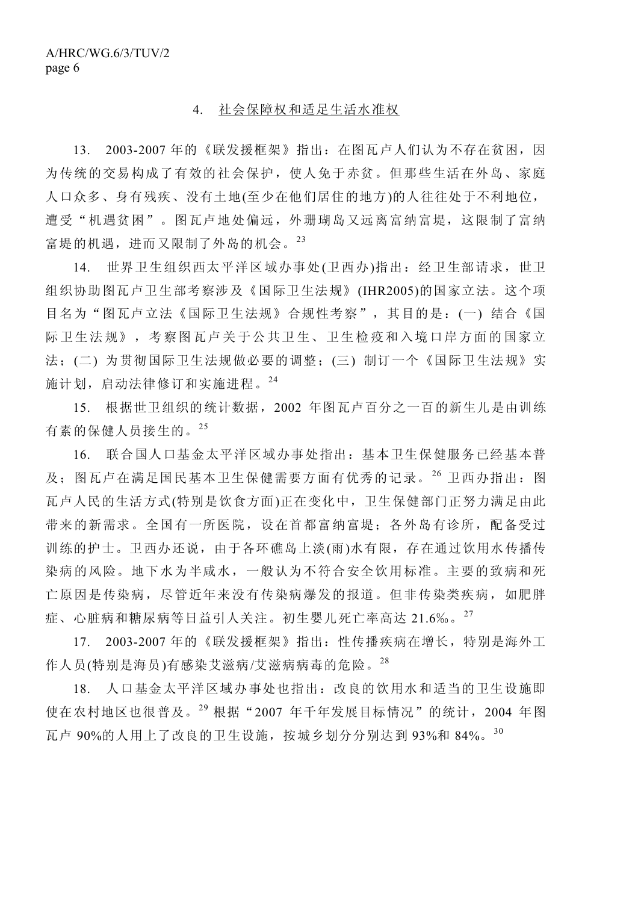#### 4. 社会保障权和适足生活水准权

13. 2003-2007年的《联发援框架》指出: 在图瓦卢人们认为不存在贫困, 因 为传统的交易构成了有效的社会保护,使人免于赤贫。但那些生活在外岛、家庭 人口众多、身有残疾、没有土地(至少在他们居住的地方)的人往往处于不利地位, 遭受"机遇贫困"。图瓦卢地处偏远,外珊瑚岛又远离富纳富堤,这限制了富纳 富堤的机遇,进而又限制了外岛的机会。<sup>23</sup>

 14. 世界卫生组织西太平洋区域办事处(卫西办)指出:经卫生部请求,世卫 组织协助图瓦卢卫生部考察涉及《国际卫生法规》(IHR2005)的国家立法。这个项 目名为"图瓦卢立法《国际卫生法规》合规性考察",其目的是:(一) 结合《国 际卫生法规》,考察图瓦卢关于公共卫生、卫生检疫和入境口岸方面的国家立 法;(二) 为贯彻国际卫生法规做必要的调整;(三) 制订一个《国际卫生法规》实 施计划,启动法律修订和实施进程。<sup>24</sup>

 15. 根据世卫组织的统计数据,2002 年图瓦卢百分之一百的新生儿是由训练 有素的保健人员接生的。<sup>25</sup>

 16. 联合国人口基金太平洋区域办事处指出:基本卫生保健服务已经基本普 及;图瓦卢在满足国民基本卫生保健需要方面有优秀的记录。<sup>26</sup>卫西办指出:图 瓦卢人民的生活方式(特别是饮食方面)正在变化中,卫生保健部门正努力满足由此 带来的新需求。全国有一所医院,设在首都富纳富堤;各外岛有诊所,配备受过 训练的护士。卫西办还说,由于各环礁岛上淡(雨)水有限,存在通过饮用水传播传 染病的风险。地下水为半咸水,一般认为不符合安全饮用标准。主要的致病和死 亡原因是传染病,尽管近年来没有传染病爆发的报道。但非传染类疾病,如肥胖 症、心脏病和糖尿病等日益引人关注。初生婴儿死亡率高达 21.6‰。<sup>27</sup>

 17. 2003-2007 年的《联发援框架》指出:性传播疾病在增长,特别是海外工 作人员(特别是海员)有感染艾滋病/艾滋病病毒的危险。<sup>28</sup>

 18. 人口基金太平洋区域办事处也指出:改良的饮用水和适当的卫生设施即 使在农村地区也很普及。<sup>29</sup> 根据"2007 年千年发展目标情况"的统计,2004 年图 瓦卢 90%的人用上了改良的卫生设施,按城乡划分分别达到 93%和 84%。<sup>30</sup>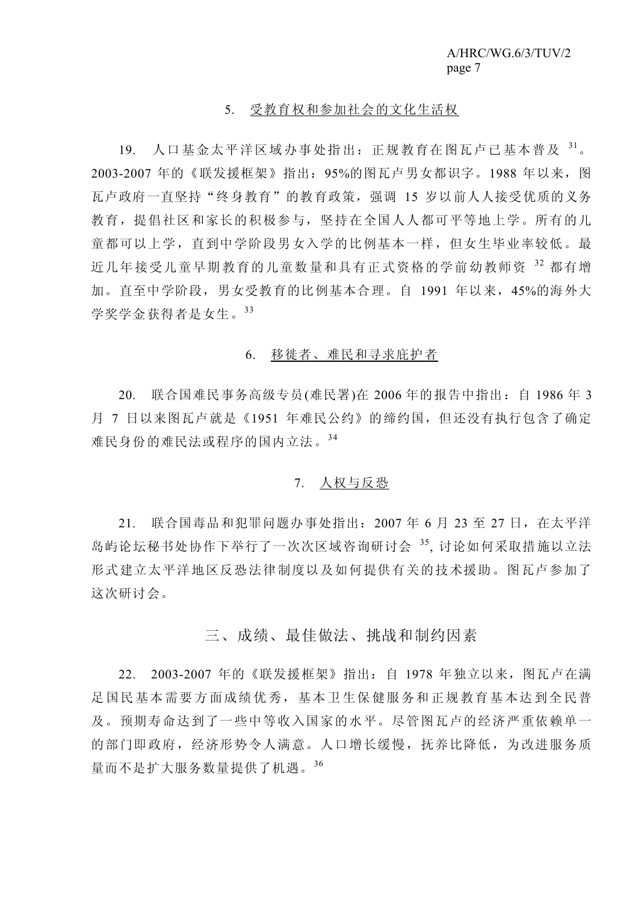# 5. 受教育权和参加社会的文化生活权

19. 人口基金太平洋区域办事处指出: 正规教育在图瓦卢已基本普及 31。 2003-2007 年的《联发援框架》指出:95%的图瓦卢男女都识字。1988 年以来,图 瓦卢政府一直坚持"终身教育"的教育政策,强调 15 岁以前人人接受优质的义务 教育,提倡社区和家长的积极参与,坚持在全国人人都可平等地上学。所有的儿 童都可以上学,直到中学阶段男女入学的比例基本一样,但女生毕业率较低。最 近几年接受儿童早期教育的儿童数量和具有正式资格的学前幼教师资 <sup>32</sup> 都有增 加。直至中学阶段,男女受教育的比例基本合理。自 1991 年以来,45%的海外大 学奖学金获得者是女生。<sup>33</sup>

#### 6. 移徙者、难民和寻求庇护者

 20. 联合国难民事务高级专员(难民署)在 2006 年的报告中指出:自 1986 年 3 月 7 日以来图瓦卢就是《1951 年难民公约》的缔约国, 但还没有执行包含了确定 难民身份的难民法或程序的国内立法。<sup>34</sup>

## 7. 人权与反恐

 21. 联合国毒品和犯罪问题办事处指出:2007 年 6 月 23 至 27 日,在太平洋 岛屿论坛秘书处协作下举行了一次次区域咨询研讨会 35, 讨论如何采取措施以立法 形式建立太平洋地区反恐法律制度以及如何提供有关的技术援助。图瓦卢参加了 这次研讨会。

# 三、成绩、最佳做法、挑战和制约因素

 22. 2003-2007 年的《联发援框架》指出:自 1978 年独立以来,图瓦卢在满 足国民基本需要方面成绩优秀,基本卫生保健服务和正规教育基本达到全民普 及。预期寿命达到了一些中等收入国家的水平。尽管图瓦卢的经济严重依赖单一 的部门即政府,经济形势令人满意。人口增长缓慢,抚养比降低,为改进服务质 量而不是扩大服务数量提供了机遇。<sup>36</sup>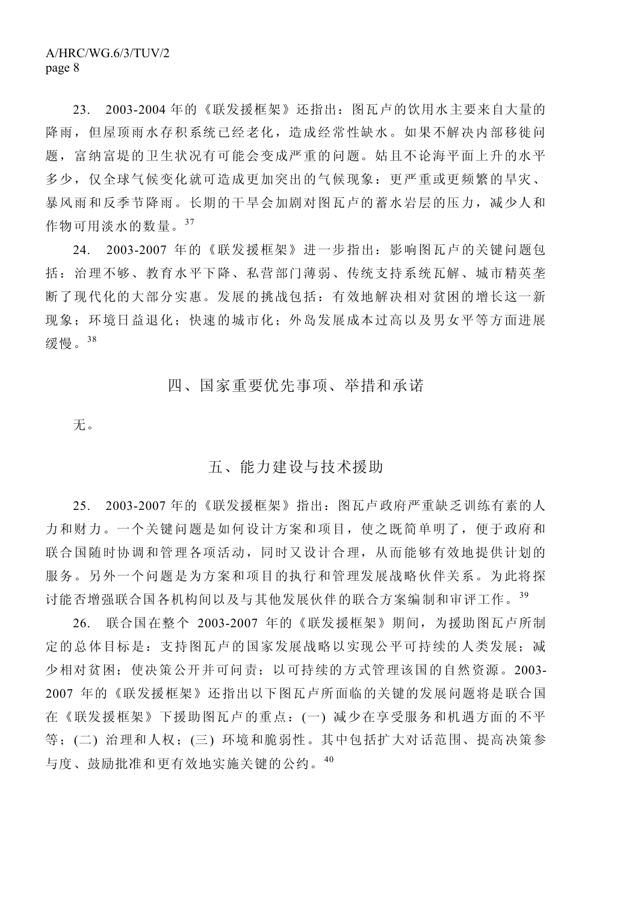23. 2003-2004 年的《联发援框架》还指出:图瓦卢的饮用水主要来自大量的 降雨,但屋顶雨水存积系统已经老化,造成经常性缺水。如果不解决内部移徙问 题,富纳富堤的卫生状况有可能会变成严重的问题。姑且不论海平面上升的水平 多少,仅全球气候变化就可造成更加突出的气候现象:更严重或更频繁的旱灾、 暴风雨和反季节降雨。长期的干旱会加剧对图瓦卢的蓄水岩层的压力,减少人和 作物可用淡水的数量。<sup>37</sup>

 24. 2003-2007 年的《联发援框架》进一步指出:影响图瓦卢的关键问题包 括:治理不够、教育水平下降、私营部门薄弱、传统支持系统瓦解、城市精英垄 断了现代化的大部分实惠。发展的挑战包括: 有效地解决相对贫困的增长这一新 现象;环境日益退化;快速的城市化;外岛发展成本过高以及男女平等方面进展 缓慢。<sup>38</sup>

# 四、国家重要优先事项、举措和承诺

无。

# 五、能力建设与技术援助

 25. 2003-2007 年的《联发援框架》指出:图瓦卢政府严重缺乏训练有素的人 力和财力。一个关键问题是如何设计方案和项目,使之既简单明了,便于政府和 联合国随时协调和管理各项活动,同时又设计合理,从而能够有效地提供计划的 服务。另外一个问题是为方案和项目的执行和管理发展战略伙伴关系。为此将探 讨能否增强联合国各机构间以及与其他发展伙伴的联合方案编制和审评工作。<sup>39</sup>

 26. 联合国在整个 2003-2007 年的《联发援框架》期间,为援助图瓦卢所制 定的总体目标是:支持图瓦卢的国家发展战略以实现公平可持续的人类发展;减 少相对贫困;使决策公开并可问责;以可持续的方式管理该国的自然资源。2003- 2007 年的《联发援框架》还指出以下图瓦卢所面临的关键的发展问题将是联合国 在《联发援框架》下援助图瓦卢的重点:(一) 减少在享受服务和机遇方面的不平 等;(二) 治理和人权;(三) 环境和脆弱性。其中包括扩大对话范围、提高决策参 与度、鼓励批准和更有效地实施关键的公约。<sup>40</sup>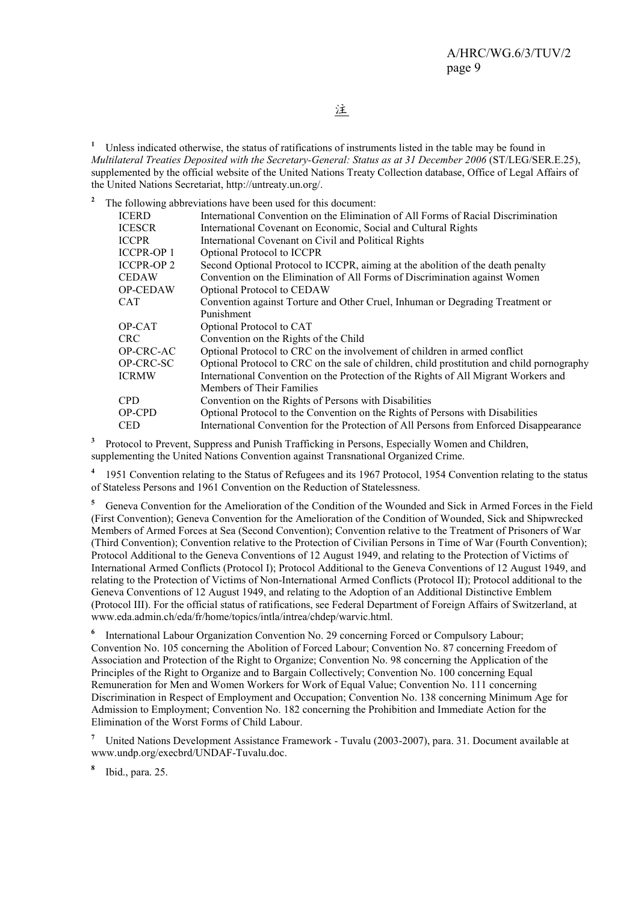注

<sup>1</sup> Unless indicated otherwise, the status of ratifications of instruments listed in the table may be found in *Multilateral Treaties Deposited with the Secretary-General: Status as at 31 December 2006* (ST/LEG/SER.E.25), supplemented by the official website of the United Nations Treaty Collection database, Office of Legal Affairs of the United Nations Secretariat, http://untreaty.un.org/.

**2** The following abbreviations have been used for this document:

| <b>ICERD</b>      | International Convention on the Elimination of All Forms of Racial Discrimination          |
|-------------------|--------------------------------------------------------------------------------------------|
| <b>ICESCR</b>     | International Covenant on Economic, Social and Cultural Rights                             |
| <b>ICCPR</b>      | International Covenant on Civil and Political Rights                                       |
| <b>ICCPR-OP 1</b> | Optional Protocol to ICCPR                                                                 |
| <b>ICCPR-OP 2</b> | Second Optional Protocol to ICCPR, aiming at the abolition of the death penalty            |
| <b>CEDAW</b>      | Convention on the Elimination of All Forms of Discrimination against Women                 |
| <b>OP-CEDAW</b>   | Optional Protocol to CEDAW                                                                 |
| <b>CAT</b>        | Convention against Torture and Other Cruel, Inhuman or Degrading Treatment or              |
|                   | Punishment                                                                                 |
| OP-CAT            | Optional Protocol to CAT                                                                   |
| CRC.              | Convention on the Rights of the Child                                                      |
| OP-CRC-AC         | Optional Protocol to CRC on the involvement of children in armed conflict                  |
| OP-CRC-SC         | Optional Protocol to CRC on the sale of children, child prostitution and child pornography |
| <b>ICRMW</b>      | International Convention on the Protection of the Rights of All Migrant Workers and        |
|                   | Members of Their Families                                                                  |
| <b>CPD</b>        | Convention on the Rights of Persons with Disabilities                                      |
| OP-CPD            | Optional Protocol to the Convention on the Rights of Persons with Disabilities             |
| <b>CED</b>        | International Convention for the Protection of All Persons from Enforced Disappearance     |
|                   |                                                                                            |

**3** Protocol to Prevent, Suppress and Punish Trafficking in Persons, Especially Women and Children, supplementing the United Nations Convention against Transnational Organized Crime.

**4** 1951 Convention relating to the Status of Refugees and its 1967 Protocol, 1954 Convention relating to the status of Stateless Persons and 1961 Convention on the Reduction of Statelessness.

**5** Geneva Convention for the Amelioration of the Condition of the Wounded and Sick in Armed Forces in the Field (First Convention); Geneva Convention for the Amelioration of the Condition of Wounded, Sick and Shipwrecked Members of Armed Forces at Sea (Second Convention); Convention relative to the Treatment of Prisoners of War (Third Convention); Convention relative to the Protection of Civilian Persons in Time of War (Fourth Convention); Protocol Additional to the Geneva Conventions of 12 August 1949, and relating to the Protection of Victims of International Armed Conflicts (Protocol I); Protocol Additional to the Geneva Conventions of 12 August 1949, and relating to the Protection of Victims of Non-International Armed Conflicts (Protocol II); Protocol additional to the Geneva Conventions of 12 August 1949, and relating to the Adoption of an Additional Distinctive Emblem (Protocol III). For the official status of ratifications, see Federal Department of Foreign Affairs of Switzerland, at www.eda.admin.ch/eda/fr/home/topics/intla/intrea/chdep/warvic.html.

**6** International Labour Organization Convention No. 29 concerning Forced or Compulsory Labour; Convention No. 105 concerning the Abolition of Forced Labour; Convention No. 87 concerning Freedom of Association and Protection of the Right to Organize; Convention No. 98 concerning the Application of the Principles of the Right to Organize and to Bargain Collectively; Convention No. 100 concerning Equal Remuneration for Men and Women Workers for Work of Equal Value; Convention No. 111 concerning Discrimination in Respect of Employment and Occupation; Convention No. 138 concerning Minimum Age for Admission to Employment; Convention No. 182 concerning the Prohibition and Immediate Action for the Elimination of the Worst Forms of Child Labour.

**7** United Nations Development Assistance Framework - Tuvalu (2003-2007), para. 31. Document available at www.undp.org/execbrd/UNDAF-Tuvalu.doc.

**8** Ibid., para. 25.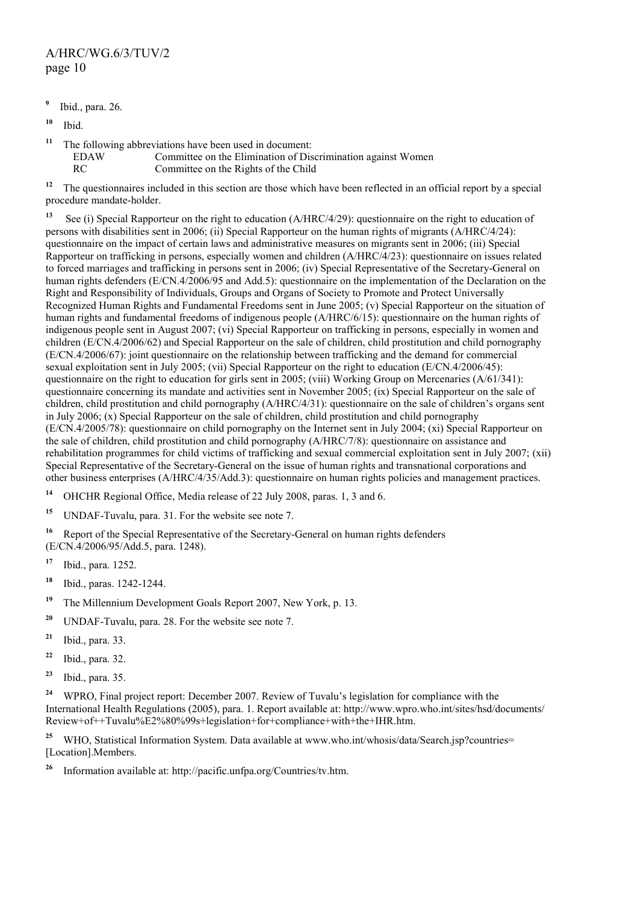# A/HRC/WG.6/3/TUV/2 page 10

- **9** Ibid., para. 26.
- **<sup>10</sup>** Ibid.
- **<sup>11</sup>** The following abbreviations have been used in document:
	- EDAW Committee on the Elimination of Discrimination against Women
		- RC Committee on the Rights of the Child

<sup>12</sup> The questionnaires included in this section are those which have been reflected in an official report by a special procedure mandate-holder.

**<sup>13</sup>** See (i) Special Rapporteur on the right to education (A/HRC/4/29): questionnaire on the right to education of persons with disabilities sent in 2006; (ii) Special Rapporteur on the human rights of migrants (A/HRC/4/24): questionnaire on the impact of certain laws and administrative measures on migrants sent in 2006; (iii) Special Rapporteur on trafficking in persons, especially women and children (A/HRC/4/23): questionnaire on issues related to forced marriages and trafficking in persons sent in 2006; (iv) Special Representative of the Secretary-General on human rights defenders (E/CN.4/2006/95 and Add.5): questionnaire on the implementation of the Declaration on the Right and Responsibility of Individuals, Groups and Organs of Society to Promote and Protect Universally Recognized Human Rights and Fundamental Freedoms sent in June 2005; (v) Special Rapporteur on the situation of human rights and fundamental freedoms of indigenous people (A/HRC/6/15): questionnaire on the human rights of indigenous people sent in August 2007; (vi) Special Rapporteur on trafficking in persons, especially in women and children (E/CN.4/2006/62) and Special Rapporteur on the sale of children, child prostitution and child pornography (E/CN.4/2006/67): joint questionnaire on the relationship between trafficking and the demand for commercial sexual exploitation sent in July 2005; (vii) Special Rapporteur on the right to education (E/CN.4/2006/45): questionnaire on the right to education for girls sent in 2005; (viii) Working Group on Mercenaries (A/61/341): questionnaire concerning its mandate and activities sent in November 2005; (ix) Special Rapporteur on the sale of children, child prostitution and child pornography (A/HRC/4/31): questionnaire on the sale of children's organs sent in July 2006;  $(x)$  Special Rapporteur on the sale of children, child prostitution and child pornography (E/CN.4/2005/78): questionnaire on child pornography on the Internet sent in July 2004; (xi) Special Rapporteur on the sale of children, child prostitution and child pornography (A/HRC/7/8): questionnaire on assistance and rehabilitation programmes for child victims of trafficking and sexual commercial exploitation sent in July 2007; (xii) Special Representative of the Secretary-General on the issue of human rights and transnational corporations and other business enterprises (A/HRC/4/35/Add.3): questionnaire on human rights policies and management practices.

- **<sup>14</sup>** OHCHR Regional Office, Media release of 22 July 2008, paras. 1, 3 and 6.
- **<sup>15</sup>** UNDAF-Tuvalu, para. 31. For the website see note 7.

**<sup>16</sup>** Report of the Special Representative of the Secretary-General on human rights defenders (E/CN.4/2006/95/Add.5, para. 1248).

- **<sup>17</sup>** Ibid., para. 1252.
- **<sup>18</sup>** Ibid., paras. 1242-1244.
- **<sup>19</sup>** The Millennium Development Goals Report 2007, New York, p. 13.
- **<sup>20</sup>** UNDAF-Tuvalu, para. 28. For the website see note 7.
- **<sup>21</sup>** Ibid., para. 33.
- **<sup>22</sup>** Ibid., para. 32.
- **<sup>23</sup>** Ibid., para. 35.

**<sup>24</sup>** WPRO, Final project report: December 2007. Review of Tuvalu's legislation for compliance with the International Health Regulations (2005), para. 1. Report available at: http://www.wpro.who.int/sites/hsd/documents/ Review+of++Tuvalu%E2%80%99s+legislation+for+compliance+with+the+IHR.htm.

<sup>25</sup> WHO, Statistical Information System. Data available at www.who.int/whosis/data/Search.jsp?countries= [Location].Members.

**<sup>26</sup>** Information available at: http://pacific.unfpa.org/Countries/tv.htm.